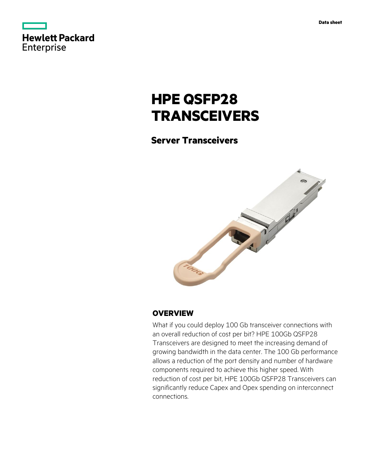|            | <b>Hewlett Packard</b> |  |
|------------|------------------------|--|
| Enterprise |                        |  |

# **HPE QSFP28 TRANSCEIVERS**

# **Server Transceivers**



## **OVERVIEW**

What if you could deploy 100 Gb transceiver connections with an overall reduction of cost per bit? HPE 100Gb QSFP28 Transceivers are designed to meet the increasing demand of growing bandwidth in the data center. The 100 Gb performance allows a reduction of the port density and number of hardware components required to achieve this higher speed. With reduction of cost per bit, HPE 100Gb QSFP28 Transceivers can significantly reduce Capex and Opex spending on interconnect connections.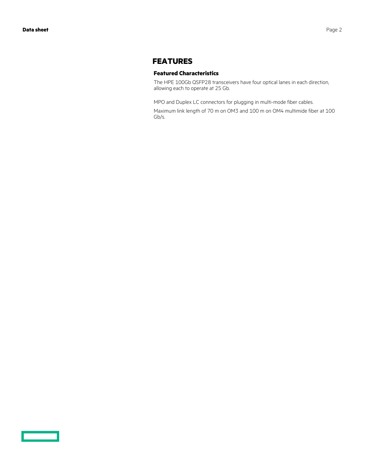$\overline{\phantom{0}}$ 

## **FEATURES**

#### **Featured Characteristics**

The HPE 100Gb QSFP28 transceivers have four optical lanes in each direction, allowing each to operate at 25 Gb.

MPO and Duplex LC connectors for plugging in multi-mode fiber cables.

Maximum link length of 70 m on OM3 and 100 m on OM4 multimide fiber at 100 Gb/s.